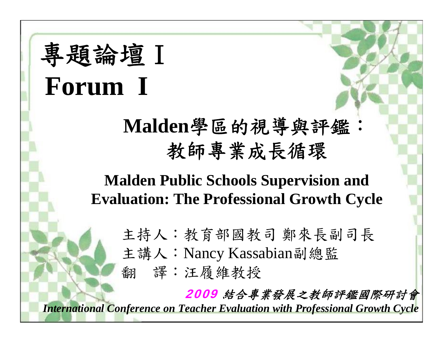# 專題論壇Ⅰ **Forum I**

#### **Malden**學區的視導與評鑑: 教師專業成長循環

#### **Malden Public Schools Supervision and Evaluation: The Professional Growth Cycle**

主持人:教育部國教司 鄭來長副司長 主講人:Nancy Kassabian副總監 翻 譯:汪履維教授

2009 結合專業發展之教師評鑑國際研討會 *International Conference on Teacher Evaluation with Professional Growth Cycle*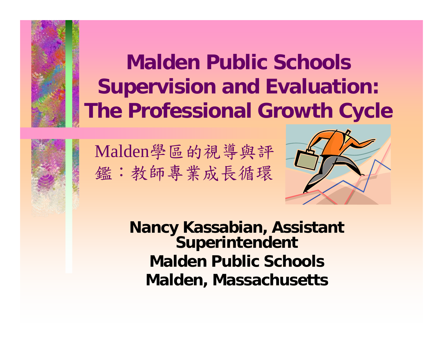**Malden Public Schools Supervision and Evaluation: The Professional Growth Cycle**



Malden學區的視導與評 鑑:教師專業成長循環



**Nancy Kassabian, Assistant Superintendent Malden Public SchoolsMalden, Massachusetts**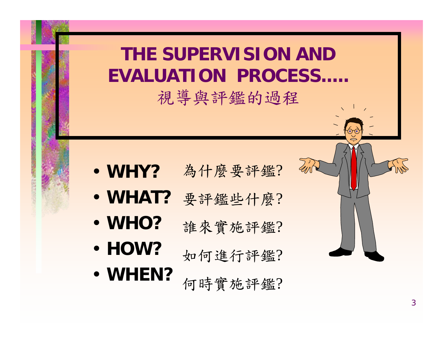#### **THE SUPERVISION AND EVALUATION PROCESS.....**

視導與評鑑的過程

- **WHY?**為什麼要評鑑?
- **WHAT?**要評鑑些什麼?
- **WHO?**誰來實施評鑑 ?
- **HOW?**如何進行評鑑?
- **WHEN?** 何時實施評鑑 ?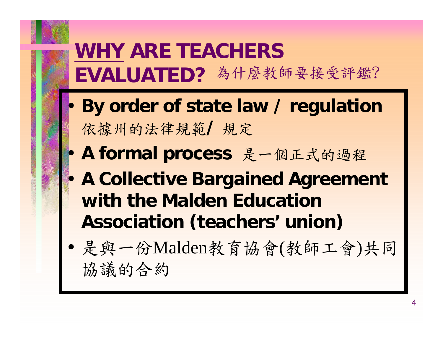## **WHY ARE TEACHERS EVALUATED?** 為什麼教師要接受評鑑?

- **By order of state law / regulation**  依據州的法律規範**/** 規定
- **A formal process** 是一個正式的過程
- **A Collective Bargained Agreement with the Malden Education Association (teachers' union)**
- 是與一份Malden教育協會(教師工會)共同 協議的合約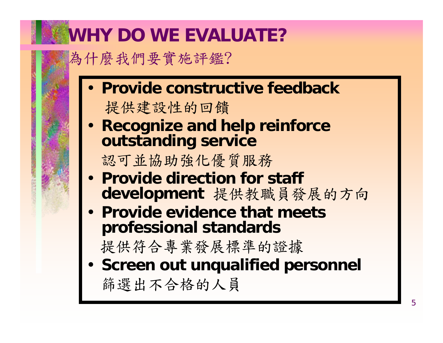### **WHY DO WE EVALUATE?**

為什麼我們要實施評鑑?

- **Provide constructive feedback**提供建設性的回饋
- **Recognize and help reinforce outstanding service**

認可並協助強化優質服務

- **Provide direction for staff development** 提供教職員發展的方向
- **Provide evidence that meets professional standards**

提供符合專業發展標準的證據

• **Screen out unqualified personnel** 篩選出不合格的人員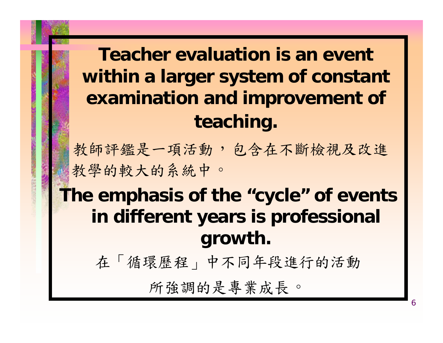#### **Teacher evaluation is an event within a larger system of constant examination and improvement of teaching.**

教師評鑑是一項活動,包含在不斷檢視及改進 教學的較大的系統中。

#### **The emphasis of the "cycle" of events in different years is professional growth.**

在「循環歷程」中不同年段進行的活動

所強調的是專業成長。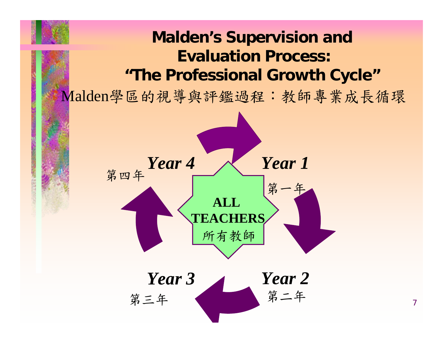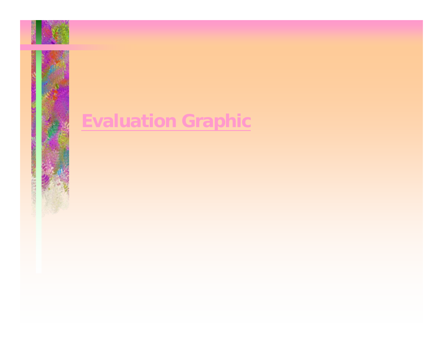

### **Evaluation Graphic**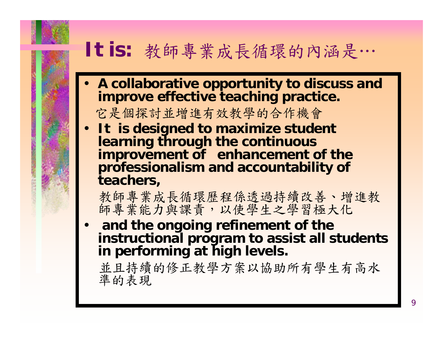

#### **It is:** 教師專業成長循環的內涵是…

- **A collaborative opportunity to discuss and improve effective teaching practice.**  它是個探討並增進有效教學的合作機會
- **It is designed to maximize student learning through the continuous improvement of enhancement of the professionalism and accountability of teachers,**

教師專業成長循環歷程係透過持續改善、增進教

• **and the ongoing refinement of the instructional program to assist all students in performing at high levels.**

並且持續的修正教學方案以協助所有學生有高水 準的表現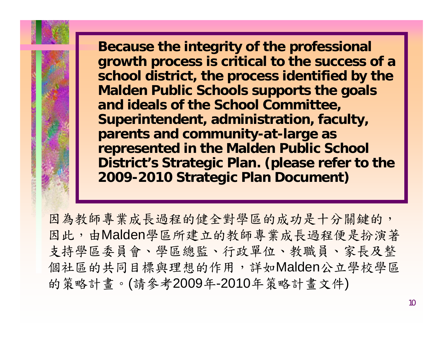**Because the integrity of the professional growth process is critical to the success of a school district, the process identified by the Malden Public Schools supports the goals and ideals of the School Committee, Superintendent, administration, faculty, parents and community-at-large as represented in the Malden Public School District's Strategic Plan. (please refer to the 2009-2010 Strategic Plan Document)**

因為教師專業成長過程的健全對學區的成功是十分關鍵的, 因此,由Malden學區所建立的教師專業成長過程便是扮演著 支持學區委員會、學區總監、行政單位、教職員、家長及整 個社區的共同目標與理想的作用,詳如Malden公立學校學區 的策略計畫。 (請參考2009 年-2010年策略計畫文件 )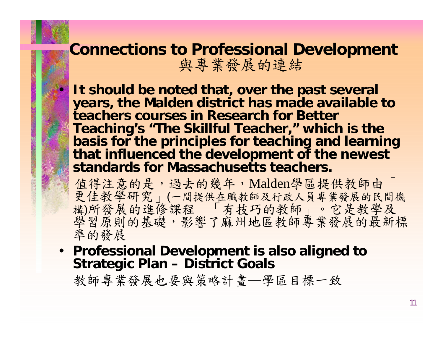# **Connections to Professional Development** 與專業發展的連結

• **It should be noted that, over the past several years, the Malden district has made available to teachers courses in Research for Better Teaching's "The Skillful Teacher," which is the basis for the principles for teaching and learning that influenced the development of the newest standards for Massachusetts teachers.** 

值得注意的是, 過去的幾年, Malden學區提供教師由「 更佳教學研究 」 (一間提供在職教師及行政人員專業發展的民間機 構)所發展的進修課程一「有技巧的教師」。它是教學及 學習原則的基礎,影響了麻州地區教師專業發展的最新標 準的發展

• **Professional Development is also aligned to Strategic Plan – District Goals**

教師專業發展也要與策略計畫─學區目標一致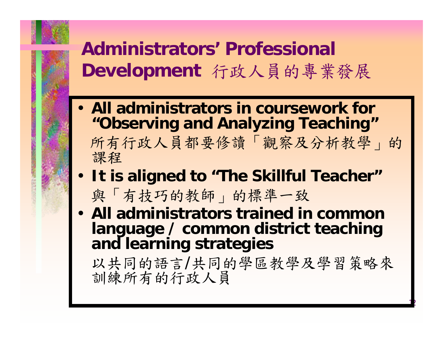### **Administrators' Professional Development** 行政人員的專業發展

- **All administrators in coursework for "Observing and Analyzing Teaching"**
	- 所有行政人員都要修讀「觀察及分析教學」的 課程
- **It is aligned to "The Skillful Teacher"** 與「有技巧的教師」的標準一致
- **All administrators trained in common language / common district teaching and learning strategies**

以共同的語言 /共同的學區教學及學習策略來 訓練所有的行政人員

1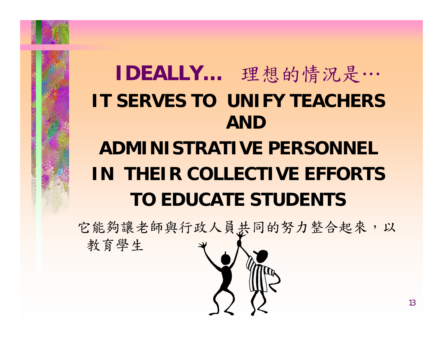

## **IDEALLY…** 理想的情況是… **IT SERVES TO UNIFY TEACHERS AND ADMINISTRATIVE PERSONNELIN THEIR COLLECTIVE EFFORTSTO EDUCATE STUDENTS**

它能夠讓老師與行政人員共同的努力整合起來,以

教育學生

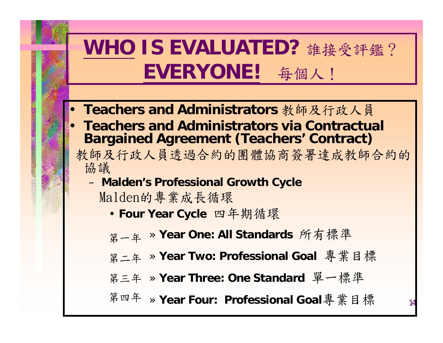## **WHO IS EVALUATED?** 誰接受評鑑? **EVERYONE!** 每個人!

- **Teachers and Administrators** 教師及行政人員
- **Teachers and Administrators via Contractual Bargained Agreement (Teachers' Contract)**
	- 教師及行政人員透過合約的團體協商簽署達成教師合約的 協議
		- **Malden's Professional Growth Cycle** Malden的專業成長循環
			- **Four Year Cycle** 四年期循環
			- **第一年 » Year One: All Standards** 所有標準
			- 第二年 » Year Two: Professional Goal 專業目標
			- » **Year Three: One Standard** 單一標準 第三年
			- 第四年 » Year Four: Professional Goal專業目標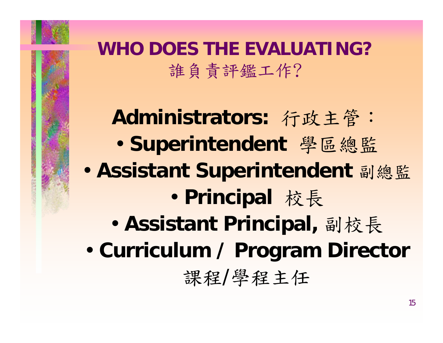

#### **WHO DOES THE EVALUATING?** 誰負責評鑑工作?

**Administrators:** 行政主管: • **Superintendent** 學區總監 • **Assistant Superintendent** 副總監 • **Principal** 校長 • **Assistant Principal,** 副校長 • **Curriculum / Program Director**

課程 /學程主任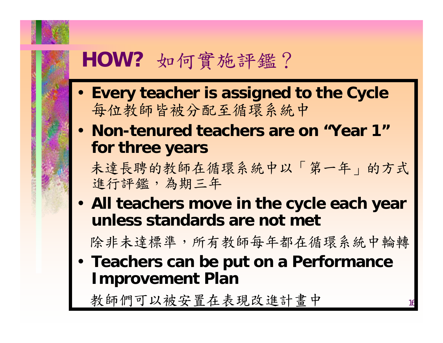## **HOW?** 如何實施評鑑?

- **Every teacher is assigned to the Cycle** 每位教師皆被分配至循環系統中
- **Non-tenured teachers are on "Year 1" for three years**

未達長聘的教師在循環系統中以「第一年」的方式 進行評鑑,為期三年

• **All teachers move in the cycle each year unless standards are not met**

除非未達標準,所有教師每年都在循環系統中輪轉

• **Teachers can be put on a Performance Improvement Plan**

教師們可以被安置在表現改進計畫中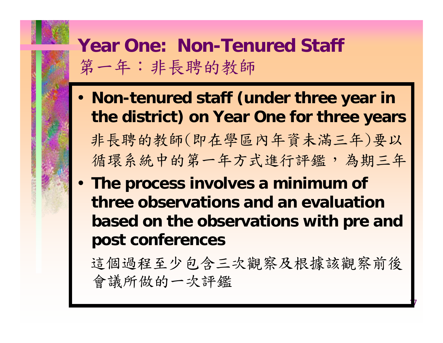#### **Year One: Non-Tenured Staff**  第一年:非長聘的教師

- **Non-tenured staff (under three year in the district) on Year One for three years** 非長聘的教師(即在學區內年資未滿三年)要以 循環系統中的第一年方式進行評鑑,為期三年
- **The process involves a minimum of three observations and an evaluation based on the observations with pre and post conferences**

這個過程至少包含三次觀察及根據該觀察前後 會議所做的一次評鑑

17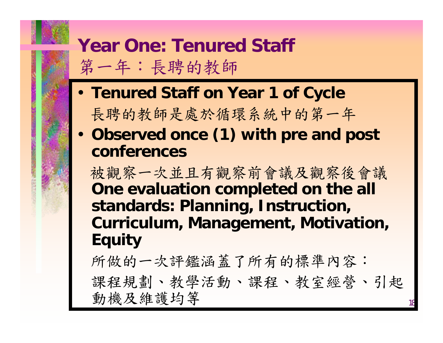#### **Year One: Tenured Staff**  第一年:長聘的教師

- **Tenured Staff on Year 1 of Cycle** 長聘的教師是處於循環系統中的第一年
- **Observed once (1) with pre and post conferences**

被觀察一次並且有觀察前會議及觀察後會議 **One evaluation completed on the all standards: Planning, Instruction, Curriculum, Management, Motivation, Equity**

所做的一次評鑑涵蓋了所有的標準內容: 課程規劃、教學活動、課程、教室經營、引起 動機及維護均等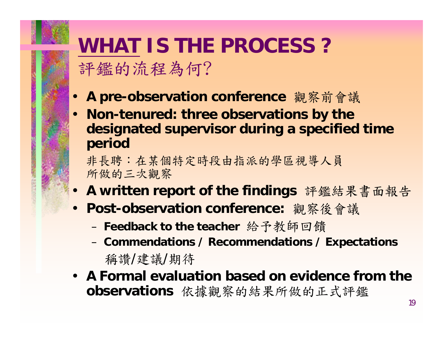## **WHAT IS THE PROCESS ?**  評鑑的流程為何?

- **A pre-observation conference** 觀察前會議
- **Non-tenured: three observations by the designated supervisor during a specified time period**

非長聘:在某個特定時段由指派的學區視導人員 所做的三次觀察

- **A written report of the findings** 評鑑結果書面報告
- **Post-observation conference:** 觀察後會議
	- **Feedback to the teacher** 給予教師回饋
	- **Commendations / Recommendations / Expectations**  稱讚/建議/期待
- **A Formal evaluation based on evidence from the observations** 依據觀察的結果所做的正式評鑑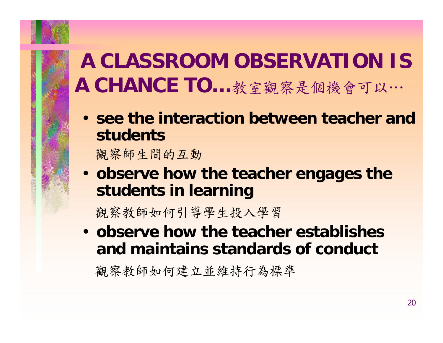## **A CLASSROOM OBSERVATION IS A CHANCE TO…**教室觀察是個機會可以…

• **see the interaction between teacher and students** 

觀察師生間的互動

• **observe how the teacher engages the students in learning**

觀察教師如何引導學生投入學習

• **observe how the teacher establishes and maintains standards of conduct**

觀察教師如何建立並維持行為標準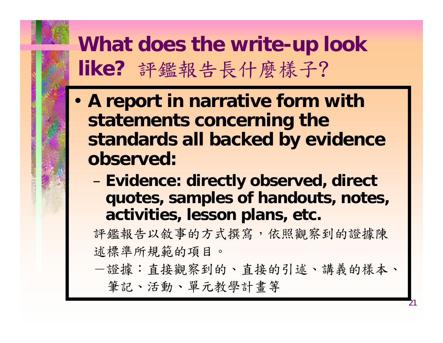## **What does the write-up look like?** 評鑑報告長什麼樣子 ?

- **A report in narrative form with statements concerning the standards all backed by evidence observed:**
	- **Evidence: directly observed, direct quotes, samples of handouts, notes, activities, lesson plans, etc.**

評鑑報告以敘事的方式撰寫,依照觀察到的證據陳 述標準所規範的項目。

-證據:直接觀察到的、直接的引述、講義的樣本、 筆記、活動、單元教學計畫等

21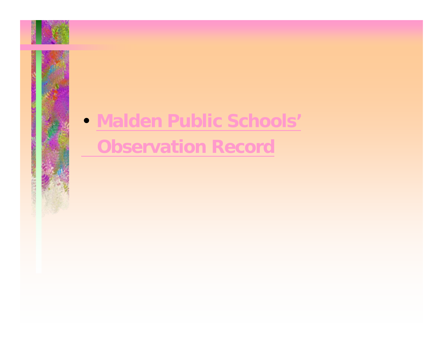## • **Malden Public Schools' Observation Record**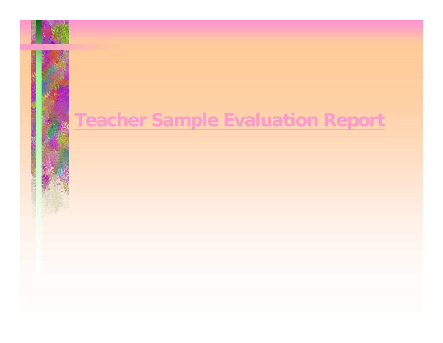### **Teacher Sample Evaluation Report**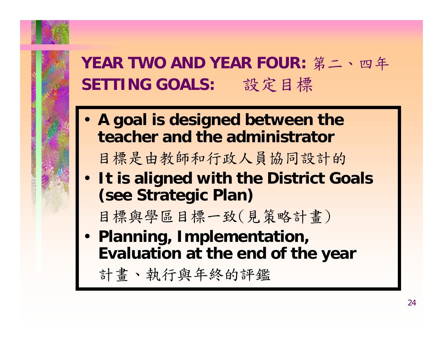

#### **YEAR TWO AND YEAR FOUR:** 第二、四年 **SETTING GOALS:** 設定目標

• **A goal is designed between the teacher and the administrator**

目標是由教師和行政人員協同設計的

• **It is aligned with the District Goals (see Strategic Plan)**

目標與學區目標一致(見策略計畫)

• **Planning, Implementation, Evaluation at the end of the year**

計畫、執行與年終的評鑑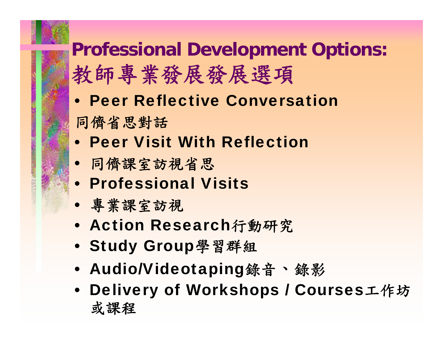## **Professional Development Options:**  教師專業發展發展選項

- Peer Reflective Conversation
- 同儕省思對話
- Peer Visit With Reflection
- 同儕課室訪視省思
- Professional Visits
- 專業課室訪視
- Action Research行動研究
- Study Group學習群組
- Audio/Videotaping錄音 、錄影
- Delivery of Workshops / Courses工作坊 或課程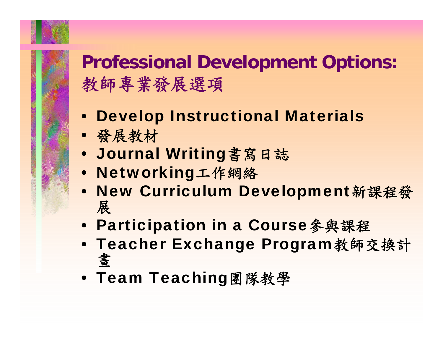## **Professional Development Options:**  教師專業發展選項

- Develop Instructional Materials
- 發展教材
- Journal Writing書寫日誌
- Networking工作網絡
- New Curriculum Development新課程發 展
- Participation in a Course參與課程
- Teacher Exchange Program教師交換計 畫
- Team Teaching團隊教學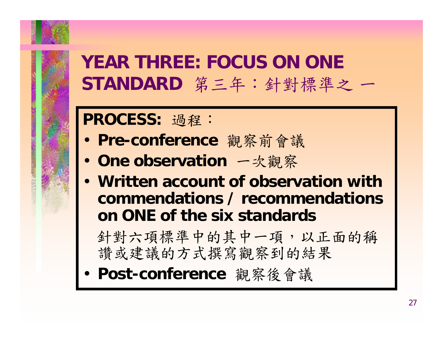

#### **YEAR THREE: FOCUS ON ONE STANDARD** 第三年:針對標準之 一

#### **PROCESS:** 過程:

- **Pre-conference** 觀察前會議
- **One observation** 一次觀察
- **Written account of observation with commendations / recommendations on ONE of the six standards**

針對六項標準中的其中一項,以正面的稱 讚或建議的方式撰寫觀察到的結果

• **Post-conference** 觀察後會議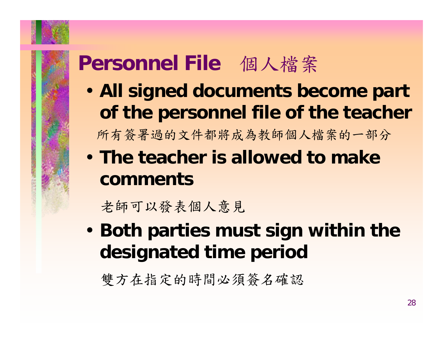## **Personnel File** 個人檔案

- **All signed documents become part of the personnel file of the teacher** 所有簽署過的文件都將成為教師個人檔案的一部分
- **The teacher is allowed to make comments**

老師可以發表個人意見

• **Both parties must sign within the designated time period**

雙方在指定的時間必須簽名確認